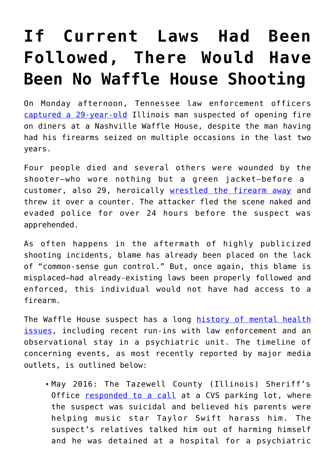## **[If Current Laws Had Been](https://intellectualtakeout.org/2018/04/if-current-laws-had-been-followed-there-would-have-been-no-waffle-house-shooting/) [Followed, There Would Have](https://intellectualtakeout.org/2018/04/if-current-laws-had-been-followed-there-would-have-been-no-waffle-house-shooting/) [Been No Waffle House Shooting](https://intellectualtakeout.org/2018/04/if-current-laws-had-been-followed-there-would-have-been-no-waffle-house-shooting/)**

On Monday afternoon, Tennessee law enforcement officers [captured a 29-year-old](https://www.cnn.com/us/live-news/waffle-house-shooting-manhunt/index.html) Illinois man suspected of opening fire on diners at a Nashville Waffle House, despite the man having had his firearms seized on multiple occasions in the last two years.

Four people died and several others were wounded by the shooter—who wore nothing but a green jacket—before a customer, also 29, heroically [wrestled the firearm away](https://www.nytimes.com/2018/04/23/us/waffle-house-hero-james-shaw.html) and threw it over a counter. The attacker fled the scene naked and evaded police for over 24 hours before the suspect was apprehended.

As often happens in the aftermath of highly publicized shooting incidents, blame has already been placed on the lack of "common-sense gun control." But, once again, this blame is misplaced—had already-existing laws been properly followed and enforced, this individual would not have had access to a firearm.

The Waffle House suspect has a long [history of mental health](https://www.cnn.com/2018/04/22/us/travis-reinking-waffle-house-shooting/index.html) [issues,](https://www.cnn.com/2018/04/22/us/travis-reinking-waffle-house-shooting/index.html) including recent run-ins with law enforcement and an observational stay in a psychiatric unit. The timeline of concerning events, as most recently reported by major media outlets, is outlined below:

May 2016: The Tazewell County (Illinois) Sheriff's Office [responded to a call](https://www.usatoday.com/story/news/crime/2018/04/22/travis-reinking-nashville-waffle-house-shooting-suspect/540144002/) at a CVS parking lot, where the suspect was suicidal and believed his parents were helping music star Taylor Swift harass him. The suspect's relatives talked him out of harming himself and he was detained at a hospital for a psychiatric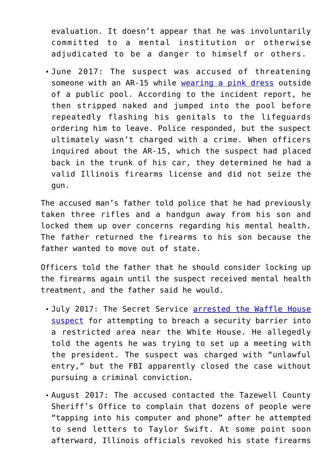evaluation. It doesn't appear that he was involuntarily committed to a mental institution or otherwise adjudicated to be a danger to himself or others.

June 2017: The suspect was accused of threatening someone with an AR-15 while [wearing a pink dress](https://www.washingtonpost.com/news/post-nation/wp/2018/04/23/waffle-house-shooting-travis-reinking-manhunt-continues-nashville-police-say/?utm_term=.6c603e13c50f) outside of a public pool. According to the incident report, he then stripped naked and jumped into the pool before repeatedly flashing his genitals to the lifeguards ordering him to leave. Police responded, but the suspect ultimately wasn't charged with a crime. When officers inquired about the AR-15, which the suspect had placed back in the trunk of his car, they determined he had a valid Illinois firearms license and did not seize the gun.

The accused man's father told police that he had previously taken three rifles and a handgun away from his son and locked them up over concerns regarding his mental health. The father returned the firearms to his son because the father wanted to move out of state.

Officers told the father that he should consider locking up the firearms again until the suspect received mental health treatment, and the father said he would.

- . July 2017: The Secret Service [arrested the Waffle House](http://abcnews.go.com/US/waffle-house-mass-shooting-suspect/story?id=54649864) [suspect](http://abcnews.go.com/US/waffle-house-mass-shooting-suspect/story?id=54649864) for attempting to breach a security barrier into a restricted area near the White House. He allegedly told the agents he was trying to set up a meeting with the president. The suspect was charged with "unlawful entry," but the FBI apparently closed the case without pursuing a criminal conviction.
- August 2017: The accused contacted the Tazewell County Sheriff's Office to complain that dozens of people were "tapping into his computer and phone" after he attempted to send letters to Taylor Swift. At some point soon afterward, Illinois officials revoked his state firearms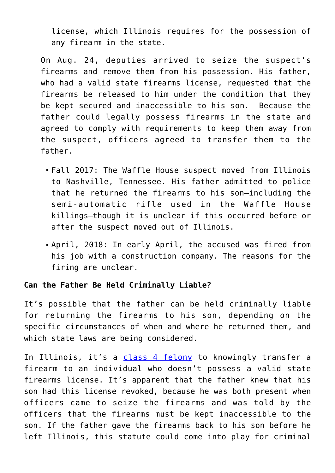license, which Illinois requires for the possession of any firearm in the state.

On Aug. 24, deputies arrived to seize the suspect's firearms and remove them from his possession. His father, who had a valid state firearms license, requested that the firearms be released to him under the condition that they be kept secured and inaccessible to his son. Because the father could legally possess firearms in the state and agreed to comply with requirements to keep them away from the suspect, officers agreed to transfer them to the father.

- Fall 2017: The Waffle House suspect moved from Illinois to Nashville, Tennessee. His father admitted to police that he returned the firearms to his son—including the semi-automatic rifle used in the Waffle House killings—though it is unclear if this occurred before or after the suspect moved out of Illinois.
- April, 2018: In early April, the accused was fired from his job with a construction company. The reasons for the firing are unclear.

## **Can the Father Be Held Criminally Liable?**

It's possible that the father can be held criminally liable for returning the firearms to his son, depending on the specific circumstances of when and where he returned them, and which state laws are being considered.

In Illinois, it's a [class 4 felony](http://www.ilga.gov/legislation/ilcs/ilcs3.asp?ActID=1657&ChapterID=39) to knowingly transfer a firearm to an individual who doesn't possess a valid state firearms license. It's apparent that the father knew that his son had this license revoked, because he was both present when officers came to seize the firearms and was told by the officers that the firearms must be kept inaccessible to the son. If the father gave the firearms back to his son before he left Illinois, this statute could come into play for criminal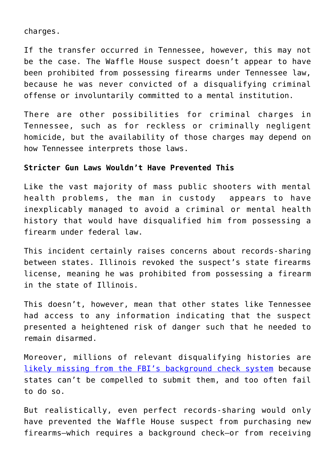charges.

If the transfer occurred in Tennessee, however, this may not be the case. The Waffle House suspect doesn't appear to have been prohibited from possessing firearms under Tennessee law, because he was never convicted of a disqualifying criminal offense or involuntarily committed to a mental institution.

There are other possibilities for criminal charges in Tennessee, such as for reckless or criminally negligent homicide, but the availability of those charges may depend on how Tennessee interprets those laws.

## **Stricter Gun Laws Wouldn't Have Prevented This**

Like the vast majority of mass public shooters with mental health problems, the man in custody appears to have inexplicably managed to avoid a criminal or mental health history that would have disqualified him from possessing a firearm under federal law.

This incident certainly raises concerns about records-sharing between states. Illinois revoked the suspect's state firearms license, meaning he was prohibited from possessing a firearm in the state of Illinois.

This doesn't, however, mean that other states like Tennessee had access to any information indicating that the suspect presented a heightened risk of danger such that he needed to remain disarmed.

Moreover, millions of relevant disqualifying histories are [likely missing from the FBI's background check system](https://www.washingtonpost.com/national/fbi-database-for-gun-buyers-missing-millions-of-records/2017/11/10/dd87ff8c-c4c4-11e7-aae0-cb18a8c29c65_story.html?utm_term=.d6a02f6e8209) because states can't be compelled to submit them, and too often fail to do so.

But realistically, even perfect records-sharing would only have prevented the Waffle House suspect from purchasing new firearms—which requires a background check—or from receiving